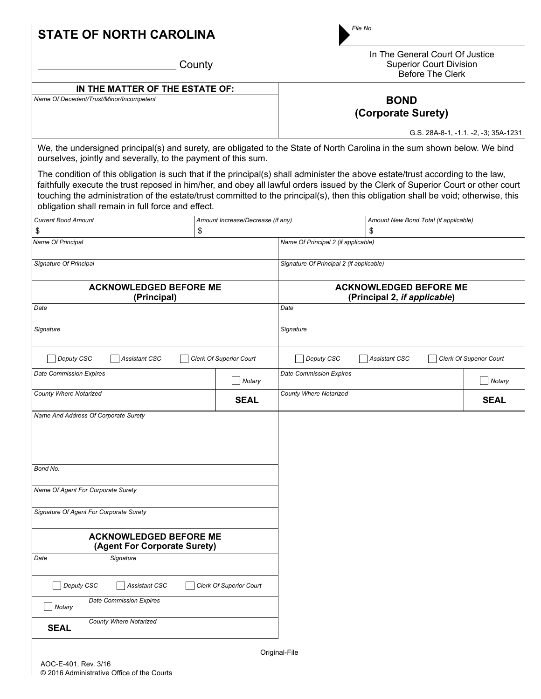|  | <b>STATE OF NORTH CAROLINA</b> |  |
|--|--------------------------------|--|
|--|--------------------------------|--|

*File No.*

**County** 

In The General Court Of Justice Superior Court Division Before The Clerk

## **IN THE MATTER OF THE ESTATE OF:**

*Name Of Decedent/Trust/Minor/Incompetent*

## **BOND (Corporate Surety)**

G.S. 28A-8-1, -1.1, -2, -3; 35A-1231

We, the undersigned principal(s) and surety, are obligated to the State of North Carolina in the sum shown below. We bind ourselves, jointly and severally, to the payment of this sum.

The condition of this obligation is such that if the principal(s) shall administer the above estate/trust according to the law, faithfully execute the trust reposed in him/her, and obey all lawful orders issued by the Clerk of Superior Court or other court touching the administration of the estate/trust committed to the principal(s), then this obligation shall be void; otherwise, this obligation shall remain in full force and effect.

| <b>Current Bond Amount</b>                                    |    | Amount Increase/Decrease (if any) |                                                               |                      | Amount New Bond Total (if applicable) |             |  |
|---------------------------------------------------------------|----|-----------------------------------|---------------------------------------------------------------|----------------------|---------------------------------------|-------------|--|
| \$                                                            | \$ |                                   |                                                               | \$                   |                                       |             |  |
| Name Of Principal                                             |    |                                   | Name Of Principal 2 (if applicable)                           |                      |                                       |             |  |
| Signature Of Principal                                        |    |                                   | Signature Of Principal 2 (if applicable)                      |                      |                                       |             |  |
| <b>ACKNOWLEDGED BEFORE ME</b><br>(Principal)                  |    |                                   | <b>ACKNOWLEDGED BEFORE ME</b><br>(Principal 2, if applicable) |                      |                                       |             |  |
| Date                                                          |    |                                   | Date                                                          |                      |                                       |             |  |
| Signature                                                     |    |                                   | Signature                                                     |                      |                                       |             |  |
| Deputy CSC<br><b>Assistant CSC</b>                            |    | Clerk Of Superior Court           | Deputy CSC                                                    | <b>Assistant CSC</b> | Clerk Of Superior Court               |             |  |
| <b>Date Commission Expires</b>                                |    | Notary                            | <b>Date Commission Expires</b>                                |                      |                                       | Notary      |  |
| <b>County Where Notarized</b>                                 |    | <b>SEAL</b>                       | County Where Notarized                                        |                      |                                       | <b>SEAL</b> |  |
|                                                               |    |                                   |                                                               |                      |                                       |             |  |
| Bond No.                                                      |    |                                   |                                                               |                      |                                       |             |  |
| Name Of Agent For Corporate Surety                            |    |                                   |                                                               |                      |                                       |             |  |
| Signature Of Agent For Corporate Surety                       |    |                                   |                                                               |                      |                                       |             |  |
| <b>ACKNOWLEDGED BEFORE ME</b><br>(Agent For Corporate Surety) |    |                                   |                                                               |                      |                                       |             |  |
| Date<br>Signature                                             |    |                                   |                                                               |                      |                                       |             |  |
| Deputy CSC<br>Assistant CSC                                   |    | Clerk Of Superior Court           |                                                               |                      |                                       |             |  |
| <b>Date Commission Expires</b><br>$\neg$ Notary               |    |                                   |                                                               |                      |                                       |             |  |
| County Where Notarized<br><b>SEAL</b>                         |    |                                   |                                                               |                      |                                       |             |  |
|                                                               |    |                                   |                                                               |                      |                                       |             |  |

Original-File